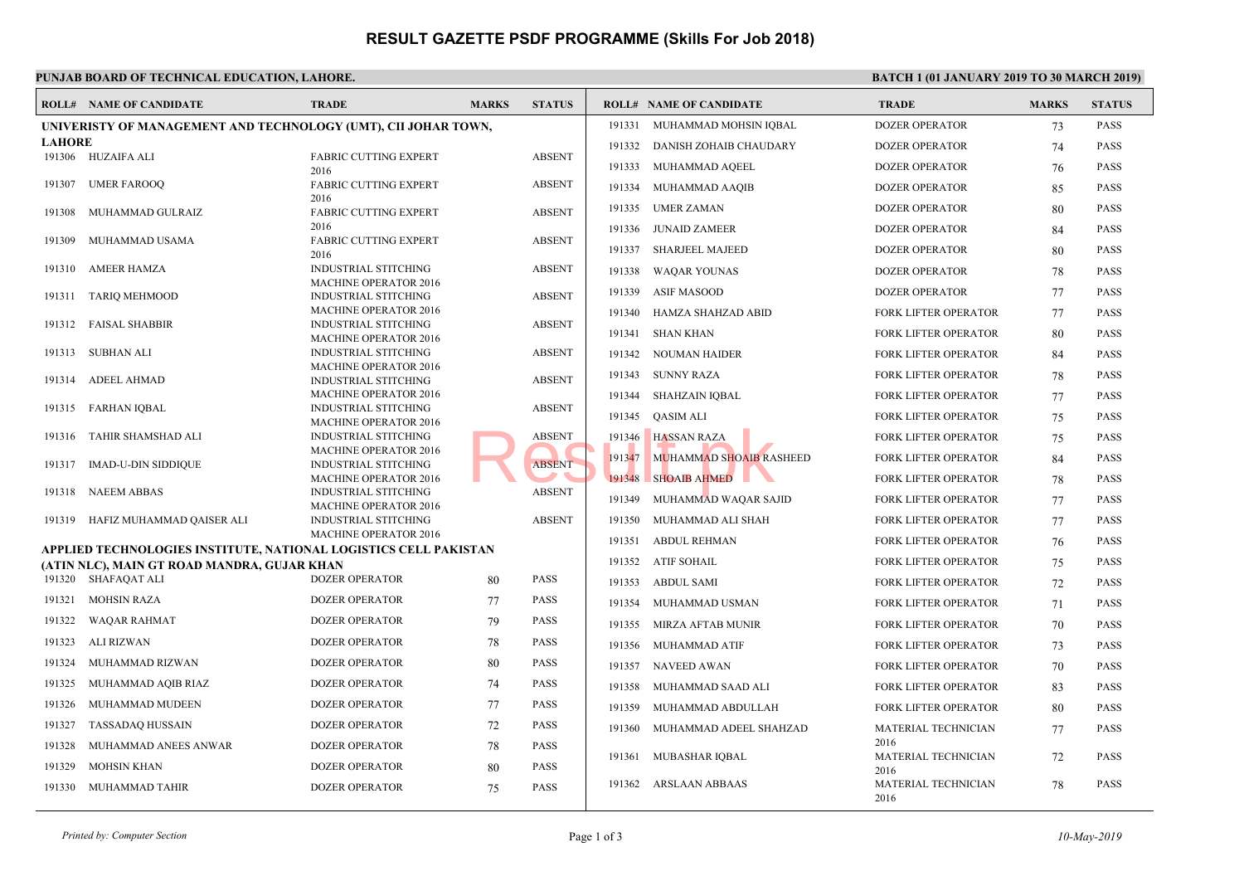# **RESULT GAZETTE PSDF PROGRAMME (Skills For Job 2018)**

### **PUNJAB BOARD OF TECHNICAL EDUCATION, LAHORE.** BATCH 1 (100 MARCH 2019) **BATCH 2019**

|                                                                  | <b>ROLL# NAME OF CANDIDATE</b>              | <b>TRADE</b>                                                | <b>MARKS</b> | <b>STATUS</b> |        | <b>ROLL# NAME OF CANDIDATE</b> | <b>TRAD</b>         |
|------------------------------------------------------------------|---------------------------------------------|-------------------------------------------------------------|--------------|---------------|--------|--------------------------------|---------------------|
| UNIVERISTY OF MANAGEMENT AND TECHNOLOGY (UMT), CII JOHAR TOWN,   |                                             |                                                             |              |               | 191331 | MUHAMMAD MOHSIN IQBAL          | <b>DOZEI</b>        |
| <b>LAHORE</b>                                                    |                                             |                                                             |              |               |        | 191332 DANISH ZOHAIB CHAUDARY  | <b>DOZEI</b>        |
|                                                                  | 191306 HUZAIFA ALI                          | FABRIC CUTTING EXPERT                                       |              | <b>ABSENT</b> |        | 191333 MUHAMMAD AQEEL          | <b>DOZEI</b>        |
| 191307                                                           | <b>UMER FAROOQ</b>                          | 2016<br><b>FABRIC CUTTING EXPERT</b>                        |              | <b>ABSENT</b> |        |                                |                     |
|                                                                  |                                             | 2016                                                        |              |               | 191334 | MUHAMMAD AAQIB                 | <b>DOZEI</b>        |
| 191308                                                           | MUHAMMAD GULRAIZ                            | FABRIC CUTTING EXPERT                                       |              | <b>ABSENT</b> |        | 191335 UMER ZAMAN              | <b>DOZEI</b>        |
|                                                                  |                                             | 2016                                                        |              |               | 191336 | JUNAID ZAMEER                  | <b>DOZEI</b>        |
| 191309                                                           | MUHAMMAD USAMA                              | <b>FABRIC CUTTING EXPERT</b><br>2016                        |              | <b>ABSENT</b> | 191337 | <b>SHARJEEL MAJEED</b>         | <b>DOZEI</b>        |
| 191310                                                           | <b>AMEER HAMZA</b>                          | INDUSTRIAL STITCHING                                        |              | <b>ABSENT</b> | 191338 | WAQAR YOUNAS                   | <b>DOZEI</b>        |
|                                                                  |                                             | <b>MACHINE OPERATOR 2016</b>                                |              |               |        | 191339 ASIF MASOOD             | <b>DOZEI</b>        |
| 191311                                                           | <b>TARIQ MEHMOOD</b>                        | <b>INDUSTRIAL STITCHING</b>                                 |              | <b>ABSENT</b> |        |                                |                     |
| 191312                                                           | <b>FAISAL SHABBIR</b>                       | <b>MACHINE OPERATOR 2016</b><br><b>INDUSTRIAL STITCHING</b> |              | <b>ABSENT</b> | 191340 | HAMZA SHAHZAD ABID             | <b>FORK</b>         |
|                                                                  |                                             | <b>MACHINE OPERATOR 2016</b>                                |              |               |        | 191341 SHAN KHAN               | <b>FORK</b>         |
| 191313                                                           | SUBHAN ALI                                  | INDUSTRIAL STITCHING                                        |              | <b>ABSENT</b> |        | 191342 NOUMAN HAIDER           | <b>FORK</b>         |
| 191314                                                           | <b>ADEEL AHMAD</b>                          | <b>MACHINE OPERATOR 2016</b>                                |              | <b>ABSENT</b> |        | 191343 SUNNY RAZA              | <b>FORK</b>         |
|                                                                  |                                             | INDUSTRIAL STITCHING<br><b>MACHINE OPERATOR 2016</b>        |              |               |        | 191344 SHAHZAIN IQBAL          | <b>FORK</b>         |
| 191315                                                           | FARHAN IOBAL                                | <b>INDUSTRIAL STITCHING</b>                                 |              | <b>ABSENT</b> |        |                                |                     |
|                                                                  |                                             | <b>MACHINE OPERATOR 2016</b>                                |              |               |        | 191345 QASIM ALI               | <b>FORK</b>         |
| 191316                                                           | TAHIR SHAMSHAD ALI                          | <b>INDUSTRIAL STITCHING</b><br><b>MACHINE OPERATOR 2016</b> |              | <b>ABSENT</b> | 191346 | <b>HASSAN RAZA</b>             | <b>FORK</b>         |
| 191317                                                           | IMAD-U-DIN SIDDIQUE                         | INDUSTRIAL STITCHING                                        |              | <b>ABSENT</b> | 191347 | MUHAMMAD SHOAIB RASHEED        | <b>FORK</b>         |
|                                                                  |                                             | <b>MACHINE OPERATOR 2016</b>                                |              |               | 191348 | SHOAIB AHMED                   | <b>FORK</b>         |
| 191318                                                           | <b>NAEEM ABBAS</b>                          | <b>INDUSTRIAL STITCHING</b>                                 |              | <b>ABSENT</b> | 191349 | MUHAMMAD WAQAR SAJID           | <b>FORK</b>         |
|                                                                  | 191319 HAFIZ MUHAMMAD QAISER ALI            | <b>MACHINE OPERATOR 2016</b><br>INDUSTRIAL STITCHING        |              | <b>ABSENT</b> | 191350 | MUHAMMAD ALI SHAH              | <b>FORK</b>         |
|                                                                  |                                             | <b>MACHINE OPERATOR 2016</b>                                |              |               |        |                                |                     |
| APPLIED TECHNOLOGIES INSTITUTE, NATIONAL LOGISTICS CELL PAKISTAN |                                             |                                                             |              |               |        | 191351 ABDUL REHMAN            | <b>FORK</b>         |
|                                                                  | (ATIN NLC), MAIN GT ROAD MANDRA, GUJAR KHAN |                                                             |              |               |        | 191352 ATIF SOHAIL             | <b>FORK</b>         |
|                                                                  | 191320 SHAFAQAT ALI                         | <b>DOZER OPERATOR</b>                                       | 80           | <b>PASS</b>   |        | 191353 ABDUL SAMI              | <b>FORK</b>         |
| 191321                                                           | <b>MOHSIN RAZA</b>                          | <b>DOZER OPERATOR</b>                                       | 77           | <b>PASS</b>   | 191354 | MUHAMMAD USMAN                 | <b>FORK</b>         |
| 191322                                                           | <b>WAQAR RAHMAT</b>                         | <b>DOZER OPERATOR</b>                                       | 79           | <b>PASS</b>   |        | 191355 MIRZA AFTAB MUNIR       | <b>FORK</b>         |
| 191323                                                           | ALI RIZWAN                                  | <b>DOZER OPERATOR</b>                                       | 78           | <b>PASS</b>   |        | 191356 MUHAMMAD ATIF           | <b>FORK</b>         |
| 191324                                                           | MUHAMMAD RIZWAN                             | <b>DOZER OPERATOR</b>                                       | 80           | <b>PASS</b>   |        | 191357 NAVEED AWAN             | <b>FORK</b>         |
| 191325                                                           | MUHAMMAD AQIB RIAZ                          | <b>DOZER OPERATOR</b>                                       | 74           | <b>PASS</b>   | 191358 | MUHAMMAD SAAD ALI              | <b>FORK</b>         |
| 191326                                                           | MUHAMMAD MUDEEN                             | <b>DOZER OPERATOR</b>                                       | 77           | <b>PASS</b>   | 191359 | MUHAMMAD ABDULLAH              | <b>FORK</b>         |
| 191327                                                           | <b>TASSADAQ HUSSAIN</b>                     | <b>DOZER OPERATOR</b>                                       | 72           | <b>PASS</b>   | 191360 | MUHAMMAD ADEEL SHAHZAD         | <b>MATE</b>         |
| 191328                                                           | MUHAMMAD ANEES ANWAR                        | <b>DOZER OPERATOR</b>                                       | 78           | <b>PASS</b>   |        |                                | 2016                |
| 191329                                                           | <b>MOHSIN KHAN</b>                          | <b>DOZER OPERATOR</b>                                       | 80           | <b>PASS</b>   | 191361 | MUBASHAR IQBAL                 | <b>MATE</b>         |
|                                                                  |                                             |                                                             |              |               |        | 191362 ARSLAAN ABBAAS          | 2016<br><b>MATE</b> |
|                                                                  | 191330 MUHAMMAD TAHIR                       | <b>DOZER OPERATOR</b>                                       | 75           | <b>PASS</b>   |        |                                | 2016                |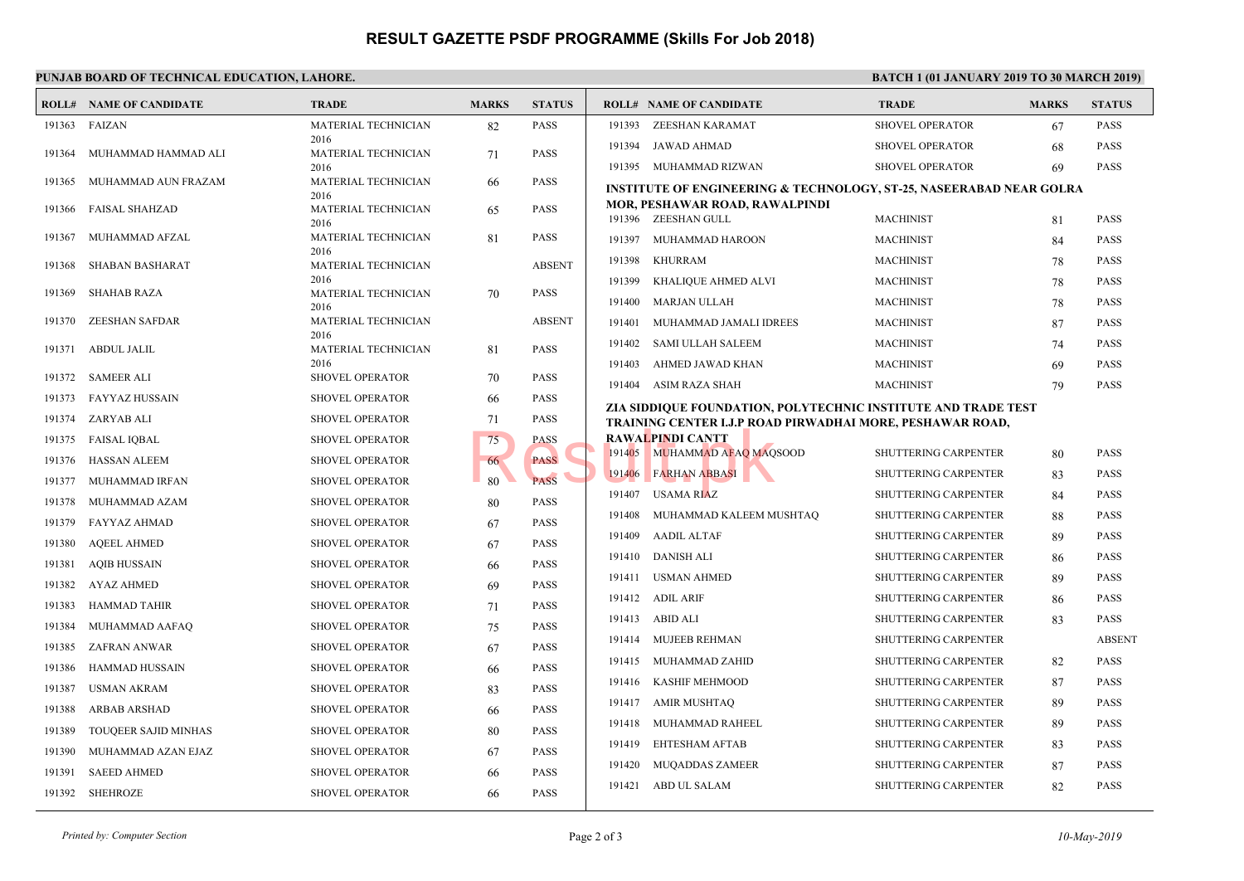# **RESULT GAZETTE PSDF PROGRAMME (Skills For Job 2018)**

## **PUNJAB BOARD OF TECHNICAL EDUCATION, LAHORE.** BATCH 1 (100 MARCH 2019) **BATCH 2019**

|        | <b>ROLL# NAME OF CANDIDATE</b> | <b>TRADE</b>                               | <b>MARKS</b> | <b>STATUS</b> |        | <b>ROLL# NAME OF CANDIDATE</b>                                          | <b>TRAL</b>       |
|--------|--------------------------------|--------------------------------------------|--------------|---------------|--------|-------------------------------------------------------------------------|-------------------|
|        | 191363 FAIZAN                  | MATERIAL TECHNICIAN                        | 82           | <b>PASS</b>   | 191393 | ZEESHAN KARAMAT                                                         | <b>SHOV</b>       |
| 191364 | MUHAMMAD HAMMAD ALI            | 2016<br>MATERIAL TECHNICIAN                | 71           | <b>PASS</b>   | 191394 | JAWAD AHMAD                                                             | <b>SHOVI</b>      |
|        |                                | 2016                                       |              |               |        | 191395 MUHAMMAD RIZWAN                                                  | <b>SHOV</b>       |
| 191365 | MUHAMMAD AUN FRAZAM            | MATERIAL TECHNICIAN<br>2016                | 66           | <b>PASS</b>   |        | <b>INSTITUTE OF ENGINEERING &amp; TECHNOLOGY, ST-2</b>                  |                   |
| 191366 | <b>FAISAL SHAHZAD</b>          | <b>MATERIAL TECHNICIAN</b><br>2016         | 65           | <b>PASS</b>   |        | MOR, PESHAWAR ROAD, RAWALPINDI<br>191396 ZEESHAN GULL                   | <b>MACH</b>       |
| 191367 | MUHAMMAD AFZAL                 | MATERIAL TECHNICIAN                        | 81           | <b>PASS</b>   |        | 191397 MUHAMMAD HAROON                                                  | <b>MACH</b>       |
| 191368 | <b>SHABAN BASHARAT</b>         | 2016<br><b>MATERIAL TECHNICIAN</b><br>2016 |              | <b>ABSENT</b> | 191398 | <b>KHURRAM</b>                                                          | <b>MACH</b>       |
| 191369 | <b>SHAHAB RAZA</b>             | MATERIAL TECHNICIAN                        | 70           | <b>PASS</b>   | 191399 | KHALIQUE AHMED ALVI                                                     | <b>MACH</b>       |
|        |                                | 2016                                       |              |               | 191400 | MARJAN ULLAH                                                            | <b>MACH</b>       |
| 191370 | ZEESHAN SAFDAR                 | <b>MATERIAL TECHNICIAN</b><br>2016         |              | <b>ABSENT</b> | 191401 | MUHAMMAD JAMALI IDREES                                                  | <b>MACH</b>       |
|        | 191371 ABDUL JALIL             | MATERIAL TECHNICIAN                        | 81           | PASS          | 191402 | SAMI ULLAH SALEEM                                                       | <b>MACH</b>       |
|        | 191372 SAMEER ALI              | 2016<br><b>SHOVEL OPERATOR</b>             | 70           | <b>PASS</b>   | 191403 | AHMED JAWAD KHAN                                                        | <b>MACH</b>       |
|        | 191373 FAYYAZ HUSSAIN          | <b>SHOVEL OPERATOR</b>                     | 66           | <b>PASS</b>   |        | 191404 ASIM RAZA SHAH                                                   | <b>MACH</b>       |
|        | 191374 ZARYAB ALI              | <b>SHOVEL OPERATOR</b>                     | 71           | PASS          |        | ZIA SIDDIQUE FOUNDATION, POLYTECHNIC INSTIT                             |                   |
| 191375 | <b>FAISAL IQBAL</b>            | <b>SHOVEL OPERATOR</b>                     | 75           | <b>PASS</b>   |        | TRAINING CENTER I.J.P ROAD PIRWADHAI MORE, I<br><b>RAWALPINDI CANTT</b> |                   |
| 191376 | HASSAN ALEEM                   | <b>SHOVEL OPERATOR</b>                     | 66           | <b>PASS</b>   |        | 191405 MUHAMMAD AFAQ MAQSOOD                                            | <b>SHUTT</b>      |
| 191377 | MUHAMMAD IRFAN                 | <b>SHOVEL OPERATOR</b>                     | 80           | <b>PASS</b>   |        | 191406 FARHAN ABBASI                                                    | <b>SHUTT</b>      |
| 191378 | MUHAMMAD AZAM                  | <b>SHOVEL OPERATOR</b>                     | 80           | <b>PASS</b>   |        | 191407 USAMA RIAZ                                                       | <b>SHUT</b>       |
| 191379 | FAYYAZ AHMAD                   | <b>SHOVEL OPERATOR</b>                     | 67           | <b>PASS</b>   | 191408 | MUHAMMAD KALEEM MUSHTAQ                                                 | <b>SHUTT</b>      |
| 191380 | <b>AQEEL AHMED</b>             | <b>SHOVEL OPERATOR</b>                     | 67           | <b>PASS</b>   |        | 191409 AADIL ALTAF                                                      | <b>SHUTT</b>      |
| 191381 | <b>AQIB HUSSAIN</b>            | <b>SHOVEL OPERATOR</b>                     | 66           | <b>PASS</b>   |        | 191410 DANISH ALI                                                       | <b>SHUTT</b>      |
| 191382 | AYAZ AHMED                     | <b>SHOVEL OPERATOR</b>                     | 69           | <b>PASS</b>   |        | 191411 USMAN AHMED                                                      | <b>SHUTT</b>      |
| 191383 | HAMMAD TAHIR                   | <b>SHOVEL OPERATOR</b>                     | 71           | <b>PASS</b>   |        | 191412 ADIL ARIF                                                        | <b>SHUTT</b>      |
| 191384 | MUHAMMAD AAFAQ                 | <b>SHOVEL OPERATOR</b>                     | 75           | <b>PASS</b>   |        | 191413 ABID ALI                                                         | <b>SHUTT</b>      |
| 191385 | ZAFRAN ANWAR                   | <b>SHOVEL OPERATOR</b>                     | 67           | <b>PASS</b>   |        | 191414 MUJEEB REHMAN                                                    | <b>SHUTT</b>      |
| 191386 | HAMMAD HUSSAIN                 | <b>SHOVEL OPERATOR</b>                     | 66           | <b>PASS</b>   |        | 191415 MUHAMMAD ZAHID                                                   | <b>SHUTT</b>      |
| 191387 | <b>USMAN AKRAM</b>             | <b>SHOVEL OPERATOR</b>                     | 83           | <b>PASS</b>   |        | 191416 KASHIF MEHMOOD                                                   | <b>SHUTT</b>      |
| 191388 | ARBAB ARSHAD                   | <b>SHOVEL OPERATOR</b>                     | 66           | <b>PASS</b>   |        | 191417 AMIR MUSHTAQ                                                     | <b>SHUTT</b>      |
| 191389 | TOUQEER SAJID MINHAS           | <b>SHOVEL OPERATOR</b>                     | 80           | <b>PASS</b>   |        | 191418 MUHAMMAD RAHEEL                                                  | <b>SHUTT</b>      |
| 191390 | MUHAMMAD AZAN EJAZ             | <b>SHOVEL OPERATOR</b>                     | 67           | <b>PASS</b>   | 191419 | EHTESHAM AFTAB                                                          | <b>SHUTT</b>      |
| 191391 | <b>SAEED AHMED</b>             | <b>SHOVEL OPERATOR</b>                     | 66           | <b>PASS</b>   |        | 191420 MUQADDAS ZAMEER                                                  | SHUT <sup>®</sup> |
|        | 191392 SHEHROZE                | <b>SHOVEL OPERATOR</b>                     | 66           | <b>PASS</b>   |        | 191421 ABD UL SALAM                                                     | SHUT <sup>®</sup> |
|        |                                |                                            |              |               |        |                                                                         |                   |